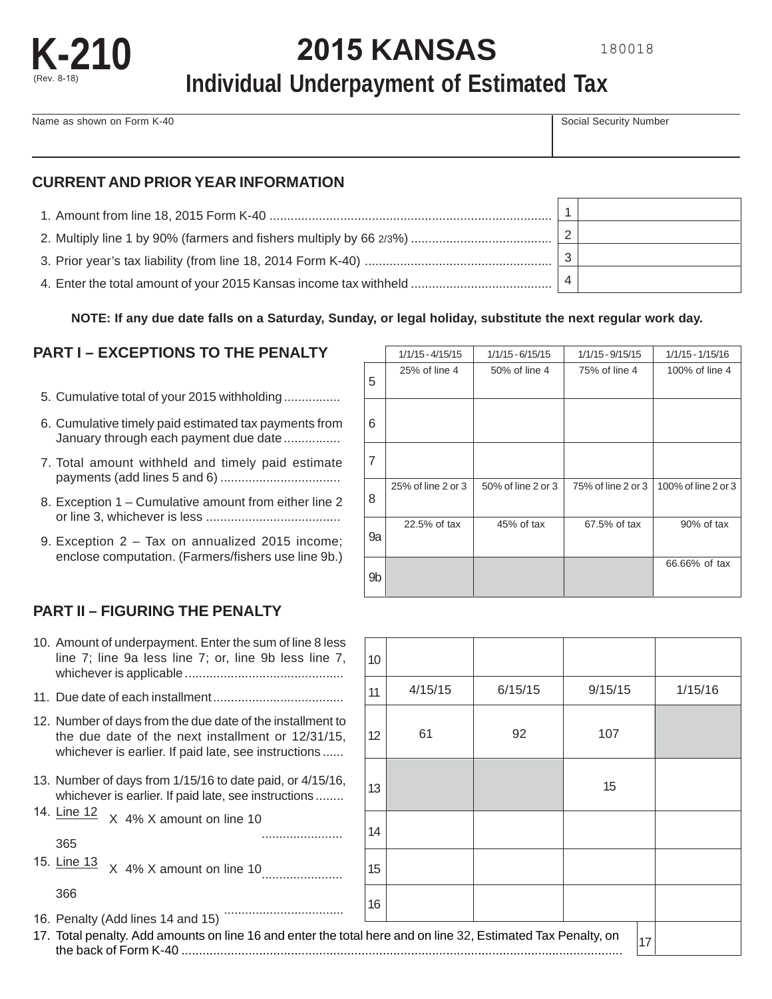

# **K-210 <sup>2015</sup>KANSAS**

## **Individual Underpayment of Estimated Tax**

Name as shown on Form K-40 Social Security Number

## **CURRENT AND PRIOR YEAR INFORMATION**

| 3 |  |
|---|--|
|   |  |

#### **NOTE: If any due date falls on a Saturday, Sunday, or legal holiday, substitute the next regular work day.**

## **PART I – EXCEPTIONS TO THE PENALTY**

- 5. Cumulative total of your 2015 withholding ................
- 6. Cumulative timely paid estimated tax payments from January through each payment due date ................
- 7. Total amount withheld and timely paid estimate payments (add lines 5 and 6) ..................................
- 8. Exception 1 Cumulative amount from either line 2 or line 3, whichever is less ......................................
- 9. Exception 2 Tax on annualized 2015 income; enclose computation. (Farmers/fishers use line 9b.)

|    | $1/1/15 - 4/15/15$ | $1/1/15 - 6/15/15$ | 1/1/15 - 9/15/15   | $1/1/15 - 1/15/16$  |
|----|--------------------|--------------------|--------------------|---------------------|
| 5  | 25% of line 4      | 50% of line 4      | 75% of line 4      | 100% of line 4      |
| 6  |                    |                    |                    |                     |
| 7  |                    |                    |                    |                     |
| 8  | 25% of line 2 or 3 | 50% of line 2 or 3 | 75% of line 2 or 3 | 100% of line 2 or 3 |
| 9a | 22.5% of tax       | 45% of tax         | 67.5% of tax       | 90% of tax          |
| 9b |                    |                    |                    | 66.66% of tax       |

## **PART II – FIGURING THE PENALTY**

| 10. Amount of underpayment. Enter the sum of line 8 less<br>line 7; line 9a less line 7; or, line 9b less line 7,                                                       | 10 <sup>1</sup> |         |         |        |
|-------------------------------------------------------------------------------------------------------------------------------------------------------------------------|-----------------|---------|---------|--------|
|                                                                                                                                                                         | 11              | 4/15/15 | 6/15/15 | 9/15/1 |
| 12. Number of days from the due date of the installment to<br>the due date of the next installment or 12/31/15,<br>whichever is earlier. If paid late, see instructions | 12 <sup>2</sup> | 61      | 92      | 107    |
| 13. Number of days from 1/15/16 to date paid, or 4/15/16,<br>whichever is earlier. If paid late, see instructions                                                       | 13              |         |         | 15     |
| 14. Line 12<br>X 4% X amount on line 10<br>365                                                                                                                          | 14              |         |         |        |
| 15. Line 13<br>X 4% X amount on line 10                                                                                                                                 | 15              |         |         |        |
| 366                                                                                                                                                                     | 16              |         |         |        |
| 16. Penalty (Add lines 14 and 15)                                                                                                                                       |                 |         |         |        |
| 17. Total penalty. Add amounts on line 16 and enter the total here and on line 32, Estimated Tax Penalty, on                                                            |                 |         |         |        |

| 10. Amount of underpayment. Enter the sum of line 8 less<br>line 7; line 9a less line 7; or, line 9b less line 7,                                                       | 10 <sup>10</sup> |         |         |         |         |
|-------------------------------------------------------------------------------------------------------------------------------------------------------------------------|------------------|---------|---------|---------|---------|
|                                                                                                                                                                         | 11               | 4/15/15 | 6/15/15 | 9/15/15 | 1/15/16 |
| 12. Number of days from the due date of the installment to<br>the due date of the next installment or 12/31/15,<br>whichever is earlier. If paid late, see instructions | 12               | 61      | 92      | 107     |         |
| 13. Number of days from 1/15/16 to date paid, or 4/15/16,<br>whichever is earlier. If paid late, see instructions                                                       | 13               |         |         | 15      |         |
| 14. Line 12<br>X 4% X amount on line 10<br>365                                                                                                                          | 14               |         |         |         |         |
| 15. Line 13<br>X 4% X amount on line 10                                                                                                                                 | 15               |         |         |         |         |
| 366                                                                                                                                                                     | 16               |         |         |         |         |
| 16. Penalty (Add lines 14 and 15)<br>17. Total penalty. Add amounts on line 16 and enter the total here and on line 32, Estimated Tax Penalty, on                       |                  |         |         | 17      |         |